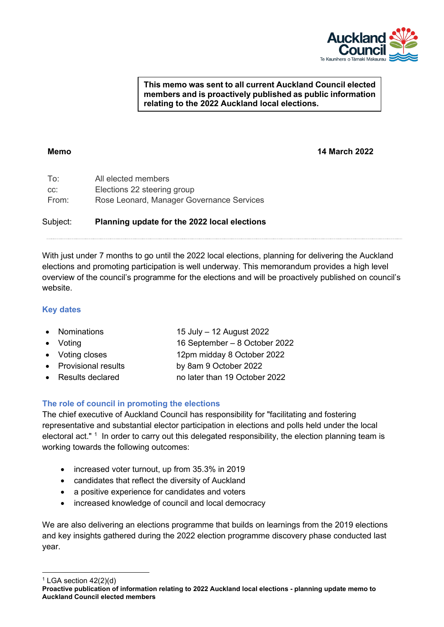

#### **This memo was sent to all current Auckland Council elected members and is proactively published as public information relating to the 2022 Auckland local elections.**

**Memo 14 March 2022**

| To:   | All elected members                       |
|-------|-------------------------------------------|
| CC:   | Elections 22 steering group               |
| From: | Rose Leonard, Manager Governance Services |

# Subject: **Planning update for the 2022 local elections**

With just under 7 months to go until the 2022 local elections, planning for delivering the Auckland elections and promoting participation is well underway. This memorandum provides a high level overview of the council's programme for the elections and will be proactively published on council's website.

## **Key dates**

| • Nominations         | 15 July - 12 August 2022      |
|-----------------------|-------------------------------|
| $\bullet$ Voting      | 16 September - 8 October 2022 |
| • Voting closes       | 12pm midday 8 October 2022    |
| • Provisional results | by 8am 9 October 2022         |
| • Results declared    | no later than 19 October 2022 |
|                       |                               |

# **The role of council in promoting the elections**

The chief executive of Auckland Council has responsibility for "facilitating and fostering representative and substantial elector participation in elections and polls held under the local electoral act." <sup>1</sup> In order to carry out this delegated responsibility, the election planning team is working towards the following outcomes:

- increased voter turnout, up from 35.3% in 2019
- candidates that reflect the diversity of Auckland
- a positive experience for candidates and voters
- increased knowledge of council and local democracy

We are also delivering an elections programme that builds on learnings from the 2019 elections and key insights gathered during the 2022 election programme discovery phase conducted last year.

<span id="page-0-0"></span> $1$  LGA section  $42(2)(d)$ 

**Proactive publication of information relating to 2022 Auckland local elections - planning update memo to Auckland Council elected members**